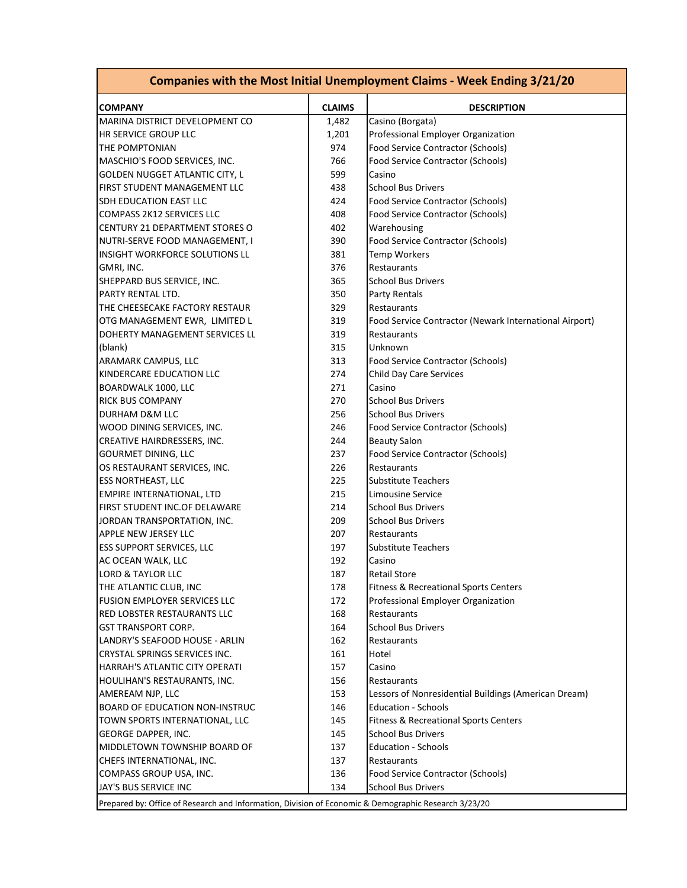| <b>Companies with the Most Initial Unemployment Claims - Week Ending 3/21/20</b>                     |               |                                                        |  |  |  |  |
|------------------------------------------------------------------------------------------------------|---------------|--------------------------------------------------------|--|--|--|--|
| <b>COMPANY</b>                                                                                       | <b>CLAIMS</b> | <b>DESCRIPTION</b>                                     |  |  |  |  |
| MARINA DISTRICT DEVELOPMENT CO                                                                       | 1,482         | Casino (Borgata)                                       |  |  |  |  |
| HR SERVICE GROUP LLC                                                                                 | 1,201         | Professional Employer Organization                     |  |  |  |  |
| THE POMPTONIAN                                                                                       | 974           | Food Service Contractor (Schools)                      |  |  |  |  |
| MASCHIO'S FOOD SERVICES, INC.                                                                        | 766           | Food Service Contractor (Schools)                      |  |  |  |  |
| GOLDEN NUGGET ATLANTIC CITY, L                                                                       | 599           | Casino                                                 |  |  |  |  |
| <b>FIRST STUDENT MANAGEMENT LLC</b>                                                                  | 438           | <b>School Bus Drivers</b>                              |  |  |  |  |
| SDH EDUCATION EAST LLC                                                                               | 424           | Food Service Contractor (Schools)                      |  |  |  |  |
| <b>COMPASS 2K12 SERVICES LLC</b>                                                                     | 408           | Food Service Contractor (Schools)                      |  |  |  |  |
| CENTURY 21 DEPARTMENT STORES O                                                                       | 402           | Warehousing                                            |  |  |  |  |
| NUTRI-SERVE FOOD MANAGEMENT, I                                                                       | 390           | Food Service Contractor (Schools)                      |  |  |  |  |
| INSIGHT WORKFORCE SOLUTIONS LL                                                                       | 381           | <b>Temp Workers</b>                                    |  |  |  |  |
| GMRI, INC.                                                                                           | 376           | Restaurants                                            |  |  |  |  |
| SHEPPARD BUS SERVICE, INC.                                                                           | 365           | <b>School Bus Drivers</b>                              |  |  |  |  |
| PARTY RENTAL LTD.                                                                                    | 350           | Party Rentals                                          |  |  |  |  |
| THE CHEESECAKE FACTORY RESTAUR                                                                       | 329           | Restaurants                                            |  |  |  |  |
| OTG MANAGEMENT EWR, LIMITED L                                                                        | 319           | Food Service Contractor (Newark International Airport) |  |  |  |  |
| DOHERTY MANAGEMENT SERVICES LL                                                                       | 319           | Restaurants                                            |  |  |  |  |
| (blank)                                                                                              | 315           | Unknown                                                |  |  |  |  |
| ARAMARK CAMPUS, LLC                                                                                  | 313           | Food Service Contractor (Schools)                      |  |  |  |  |
| KINDERCARE EDUCATION LLC                                                                             | 274           | Child Day Care Services                                |  |  |  |  |
| BOARDWALK 1000, LLC                                                                                  | 271           | Casino                                                 |  |  |  |  |
| <b>RICK BUS COMPANY</b>                                                                              | 270           | <b>School Bus Drivers</b>                              |  |  |  |  |
| DURHAM D&M LLC                                                                                       | 256           | <b>School Bus Drivers</b>                              |  |  |  |  |
| WOOD DINING SERVICES, INC.                                                                           | 246           | Food Service Contractor (Schools)                      |  |  |  |  |
| CREATIVE HAIRDRESSERS, INC.                                                                          | 244           | <b>Beauty Salon</b>                                    |  |  |  |  |
| <b>GOURMET DINING, LLC</b>                                                                           | 237           | Food Service Contractor (Schools)                      |  |  |  |  |
| OS RESTAURANT SERVICES, INC.                                                                         | 226           | Restaurants                                            |  |  |  |  |
| <b>ESS NORTHEAST, LLC</b>                                                                            | 225           | <b>Substitute Teachers</b>                             |  |  |  |  |
| EMPIRE INTERNATIONAL, LTD                                                                            | 215           | Limousine Service                                      |  |  |  |  |
| FIRST STUDENT INC.OF DELAWARE                                                                        | 214           | <b>School Bus Drivers</b>                              |  |  |  |  |
| JORDAN TRANSPORTATION, INC.                                                                          | 209           | <b>School Bus Drivers</b>                              |  |  |  |  |
| <b>APPLE NEW JERSEY LLC</b>                                                                          | 207           | Restaurants                                            |  |  |  |  |
| <b>ESS SUPPORT SERVICES, LLC</b>                                                                     | 197           | <b>Substitute Teachers</b>                             |  |  |  |  |
| AC OCEAN WALK, LLC                                                                                   | 192           | Casino                                                 |  |  |  |  |
| <b>LORD &amp; TAYLOR LLC</b>                                                                         | 187           | <b>Retail Store</b>                                    |  |  |  |  |
| THE ATLANTIC CLUB, INC                                                                               | 178           | Fitness & Recreational Sports Centers                  |  |  |  |  |
| <b>FUSION EMPLOYER SERVICES LLC</b>                                                                  | 172           | Professional Employer Organization                     |  |  |  |  |
| RED LOBSTER RESTAURANTS LLC                                                                          | 168           | Restaurants                                            |  |  |  |  |
| <b>GST TRANSPORT CORP.</b>                                                                           | 164           | <b>School Bus Drivers</b>                              |  |  |  |  |
| LANDRY'S SEAFOOD HOUSE - ARLIN                                                                       | 162           | Restaurants                                            |  |  |  |  |
| CRYSTAL SPRINGS SERVICES INC.                                                                        | 161           | Hotel                                                  |  |  |  |  |
| HARRAH'S ATLANTIC CITY OPERATI                                                                       | 157           | Casino                                                 |  |  |  |  |
| HOULIHAN'S RESTAURANTS, INC.                                                                         | 156           | Restaurants                                            |  |  |  |  |
| AMEREAM NJP, LLC                                                                                     | 153           | Lessors of Nonresidential Buildings (American Dream)   |  |  |  |  |
| <b>BOARD OF EDUCATION NON-INSTRUC</b>                                                                | 146           | <b>Education - Schools</b>                             |  |  |  |  |
| TOWN SPORTS INTERNATIONAL, LLC                                                                       | 145           | <b>Fitness &amp; Recreational Sports Centers</b>       |  |  |  |  |
| <b>GEORGE DAPPER, INC.</b>                                                                           | 145           | <b>School Bus Drivers</b>                              |  |  |  |  |
| MIDDLETOWN TOWNSHIP BOARD OF                                                                         | 137           | <b>Education - Schools</b>                             |  |  |  |  |
| CHEFS INTERNATIONAL, INC.                                                                            | 137           | Restaurants                                            |  |  |  |  |
| COMPASS GROUP USA, INC.                                                                              | 136           | Food Service Contractor (Schools)                      |  |  |  |  |
| JAY'S BUS SERVICE INC                                                                                | 134           | <b>School Bus Drivers</b>                              |  |  |  |  |
| Prepared by: Office of Research and Information, Division of Economic & Demographic Research 3/23/20 |               |                                                        |  |  |  |  |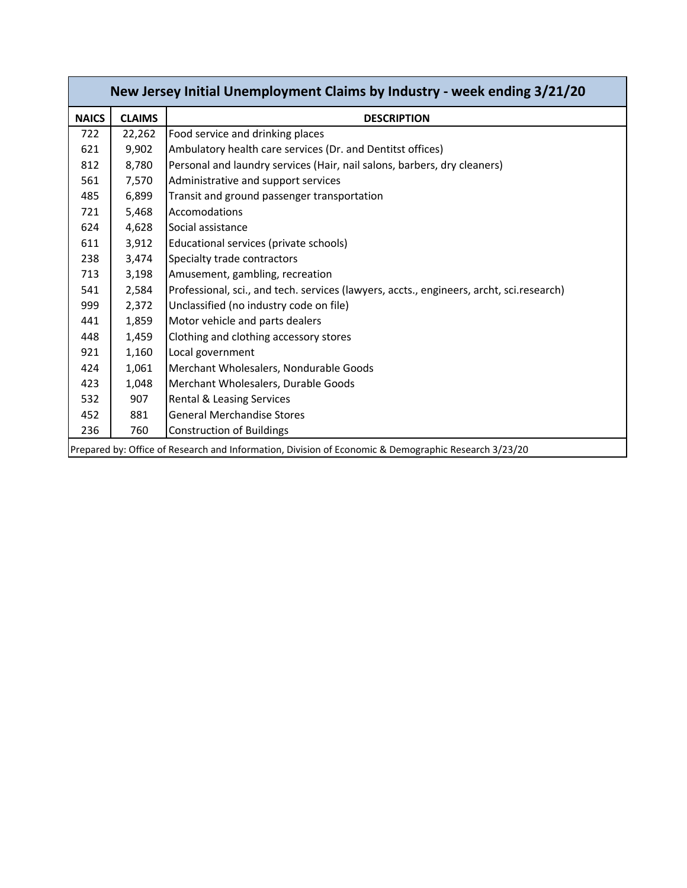| New Jersey Initial Unemployment Claims by Industry - week ending 3/21/20 |                                                                                                      |                                                                                          |  |  |  |
|--------------------------------------------------------------------------|------------------------------------------------------------------------------------------------------|------------------------------------------------------------------------------------------|--|--|--|
| <b>NAICS</b>                                                             | <b>CLAIMS</b>                                                                                        | <b>DESCRIPTION</b>                                                                       |  |  |  |
| 722                                                                      | 22,262                                                                                               | Food service and drinking places                                                         |  |  |  |
| 621                                                                      | 9,902                                                                                                | Ambulatory health care services (Dr. and Dentitst offices)                               |  |  |  |
| 812                                                                      | 8,780                                                                                                | Personal and laundry services (Hair, nail salons, barbers, dry cleaners)                 |  |  |  |
| 561                                                                      | 7,570                                                                                                | Administrative and support services                                                      |  |  |  |
| 485                                                                      | 6,899                                                                                                | Transit and ground passenger transportation                                              |  |  |  |
| 721                                                                      | 5,468                                                                                                | Accomodations                                                                            |  |  |  |
| 624                                                                      | 4,628                                                                                                | Social assistance                                                                        |  |  |  |
| 611                                                                      | 3,912                                                                                                | Educational services (private schools)                                                   |  |  |  |
| 238                                                                      | 3,474                                                                                                | Specialty trade contractors                                                              |  |  |  |
| 713                                                                      | 3,198                                                                                                | Amusement, gambling, recreation                                                          |  |  |  |
| 541                                                                      | 2,584                                                                                                | Professional, sci., and tech. services (lawyers, accts., engineers, archt, sci.research) |  |  |  |
| 999                                                                      | 2,372                                                                                                | Unclassified (no industry code on file)                                                  |  |  |  |
| 441                                                                      | 1,859                                                                                                | Motor vehicle and parts dealers                                                          |  |  |  |
| 448                                                                      | 1,459                                                                                                | Clothing and clothing accessory stores                                                   |  |  |  |
| 921                                                                      | 1,160                                                                                                | Local government                                                                         |  |  |  |
| 424                                                                      | 1,061                                                                                                | Merchant Wholesalers, Nondurable Goods                                                   |  |  |  |
| 423                                                                      | 1,048                                                                                                | Merchant Wholesalers, Durable Goods                                                      |  |  |  |
| 532                                                                      | 907                                                                                                  | <b>Rental &amp; Leasing Services</b>                                                     |  |  |  |
| 452                                                                      | 881                                                                                                  | <b>General Merchandise Stores</b>                                                        |  |  |  |
| 236                                                                      | 760                                                                                                  | <b>Construction of Buildings</b>                                                         |  |  |  |
|                                                                          | Prepared by: Office of Research and Information, Division of Economic & Demographic Research 3/23/20 |                                                                                          |  |  |  |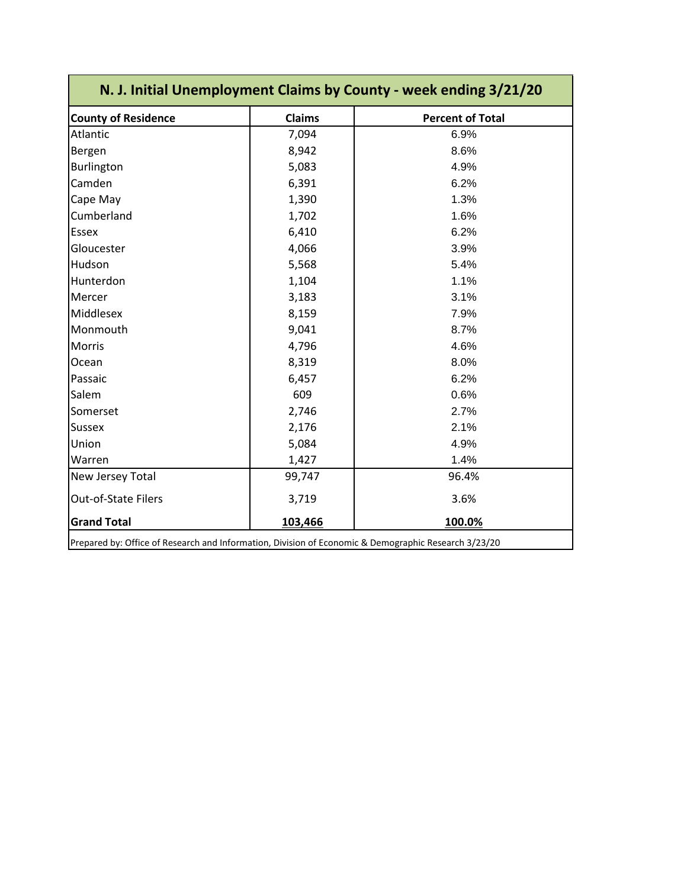| N. J. Initial Unemployment Claims by County - week ending 3/21/20                                    |               |                         |  |  |  |  |
|------------------------------------------------------------------------------------------------------|---------------|-------------------------|--|--|--|--|
| <b>County of Residence</b>                                                                           | <b>Claims</b> | <b>Percent of Total</b> |  |  |  |  |
| Atlantic                                                                                             | 7,094         | 6.9%                    |  |  |  |  |
| Bergen                                                                                               | 8,942         | 8.6%                    |  |  |  |  |
| Burlington                                                                                           | 5,083         | 4.9%                    |  |  |  |  |
| Camden                                                                                               | 6,391         | 6.2%                    |  |  |  |  |
| Cape May                                                                                             | 1,390         | 1.3%                    |  |  |  |  |
| Cumberland                                                                                           | 1,702         | 1.6%                    |  |  |  |  |
| <b>Essex</b>                                                                                         | 6,410         | 6.2%                    |  |  |  |  |
| Gloucester                                                                                           | 4,066         | 3.9%                    |  |  |  |  |
| Hudson                                                                                               | 5,568         | 5.4%                    |  |  |  |  |
| Hunterdon                                                                                            | 1,104         | 1.1%                    |  |  |  |  |
| Mercer                                                                                               | 3,183         | 3.1%                    |  |  |  |  |
| Middlesex                                                                                            | 8,159         | 7.9%                    |  |  |  |  |
| Monmouth                                                                                             | 9,041         | 8.7%                    |  |  |  |  |
| Morris                                                                                               | 4,796         | 4.6%                    |  |  |  |  |
| Ocean                                                                                                | 8,319         | 8.0%                    |  |  |  |  |
| Passaic                                                                                              | 6,457         | 6.2%                    |  |  |  |  |
| Salem                                                                                                | 609           | 0.6%                    |  |  |  |  |
| Somerset                                                                                             | 2,746         | 2.7%                    |  |  |  |  |
| <b>Sussex</b>                                                                                        | 2,176         | 2.1%                    |  |  |  |  |
| Union                                                                                                | 5,084         | 4.9%                    |  |  |  |  |
| Warren                                                                                               | 1,427         | 1.4%                    |  |  |  |  |
| New Jersey Total                                                                                     | 99,747        | 96.4%                   |  |  |  |  |
| Out-of-State Filers                                                                                  | 3,719         | 3.6%                    |  |  |  |  |
| <b>Grand Total</b>                                                                                   | 103,466       | 100.0%                  |  |  |  |  |
| Prepared by: Office of Research and Information, Division of Economic & Demographic Research 3/23/20 |               |                         |  |  |  |  |

Prepared by: Office of Research and Information, Division of Economic & Demographic Research 3/23/20